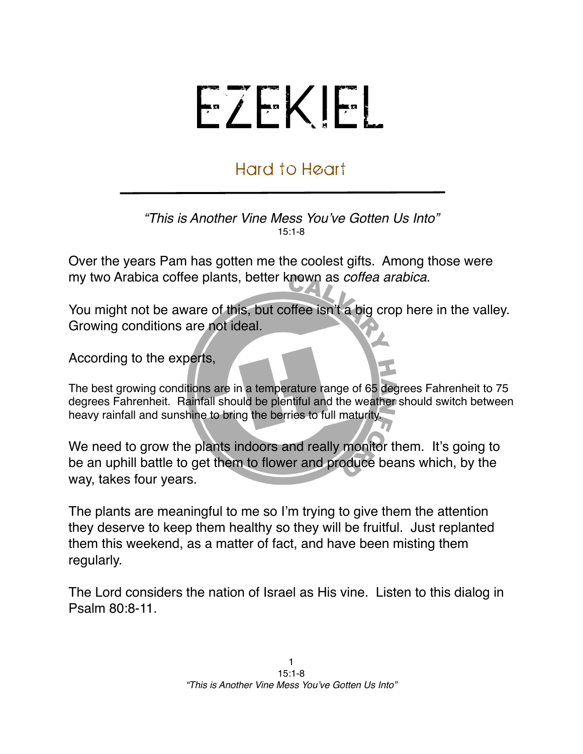## EZEKIEL

## Hard to Heart

*"This is Another Vine Mess You*'*ve Gotten Us Into"* 15:1-8

Over the years Pam has gotten me the coolest gifts. Among those were my two Arabica coffee plants, better known as *coffea arabica*.

You might not be aware of this, but coffee isn't a big crop here in the valley. Growing conditions are not ideal.

According to the experts,

The best growing conditions are in a temperature range of 65 degrees Fahrenheit to 75 degrees Fahrenheit. Rainfall should be plentiful and the weather should switch between heavy rainfall and sunshine to bring the berries to full maturity.

We need to grow the plants indoors and really monitor them. It's going to be an uphill battle to get them to flower and produce beans which, by the way, takes four years.

The plants are meaningful to me so I'm trying to give them the attention they deserve to keep them healthy so they will be fruitful. Just replanted them this weekend, as a matter of fact, and have been misting them regularly.

The Lord considers the nation of Israel as His vine. Listen to this dialog in Psalm 80:8-11.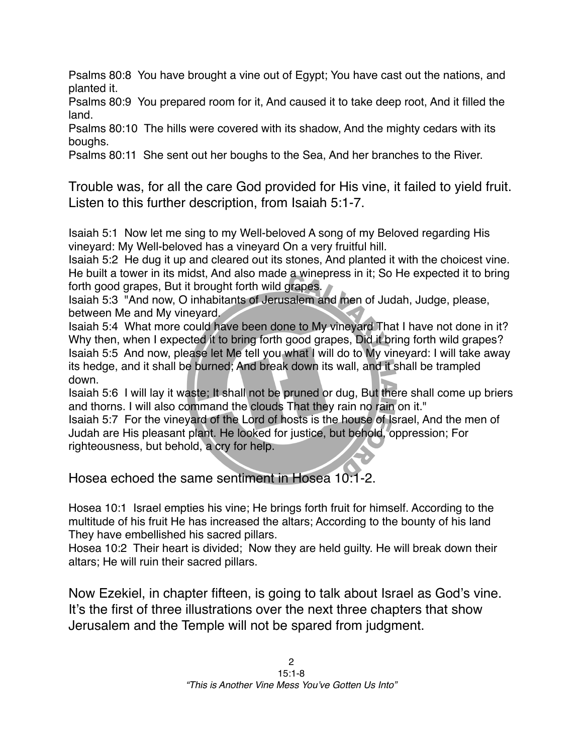Psalms 80:8 You have brought a vine out of Egypt; You have cast out the nations, and planted it.

Psalms 80:9 You prepared room for it, And caused it to take deep root, And it filled the land.

Psalms 80:10 The hills were covered with its shadow, And the mighty cedars with its boughs.

Psalms 80:11 She sent out her boughs to the Sea, And her branches to the River.

Trouble was, for all the care God provided for His vine, it failed to yield fruit. Listen to this further description, from Isaiah 5:1-7.

Isaiah 5:1 Now let me sing to my Well-beloved A song of my Beloved regarding His vineyard: My Well-beloved has a vineyard On a very fruitful hill.

Isaiah 5:2 He dug it up and cleared out its stones, And planted it with the choicest vine. He built a tower in its midst, And also made a winepress in it; So He expected it to bring forth good grapes, But it brought forth wild grapes.

Isaiah 5:3 "And now, O inhabitants of Jerusalem and men of Judah, Judge, please, between Me and My vineyard.

Isaiah 5:4 What more could have been done to My vineyard That I have not done in it? Why then, when I expected it to bring forth good grapes, Did it bring forth wild grapes? Isaiah 5:5 And now, please let Me tell you what I will do to My vineyard: I will take away its hedge, and it shall be burned; And break down its wall, and it shall be trampled down.

Isaiah 5:6 I will lay it waste; It shall not be pruned or dug, But there shall come up briers and thorns. I will also command the clouds That they rain no rain on it."

Isaiah 5:7 For the vineyard of the Lord of hosts is the house of Israel, And the men of Judah are His pleasant plant. He looked for justice, but behold, oppression; For righteousness, but behold, a cry for help.

Hosea echoed the same sentiment in Hosea 10:1-2.

Hosea 10:1 Israel empties his vine; He brings forth fruit for himself. According to the multitude of his fruit He has increased the altars; According to the bounty of his land They have embellished his sacred pillars.

Hosea 10:2 Their heart is divided; Now they are held guilty. He will break down their altars; He will ruin their sacred pillars.

Now Ezekiel, in chapter fifteen, is going to talk about Israel as God's vine. It's the first of three illustrations over the next three chapters that show Jerusalem and the Temple will not be spared from judgment.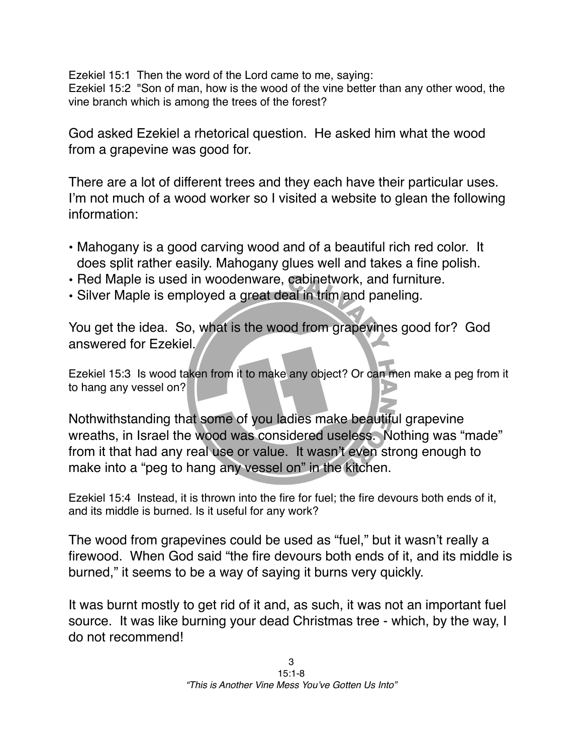Ezekiel 15:1 Then the word of the Lord came to me, saying: Ezekiel 15:2 "Son of man, how is the wood of the vine better than any other wood, the vine branch which is among the trees of the forest?

God asked Ezekiel a rhetorical question. He asked him what the wood from a grapevine was good for.

There are a lot of different trees and they each have their particular uses. I'm not much of a wood worker so I visited a website to glean the following information:

- Mahogany is a good carving wood and of a beautiful rich red color. It does split rather easily. Mahogany glues well and takes a fine polish.
- Red Maple is used in woodenware, cabinetwork, and furniture.
- Silver Maple is employed a great deal in trim and paneling.

You get the idea. So, what is the wood from grapevines good for? God answered for Ezekiel.

Ezekiel 15:3 Is wood taken from it to make any object? Or can men make a peg from it to hang any vessel on?

Nothwithstanding that some of you ladies make beautiful grapevine wreaths, in Israel the wood was considered useless. Nothing was "made" from it that had any real use or value. It wasn't even strong enough to make into a "peg to hang any vessel on" in the kitchen.

Ezekiel 15:4 Instead, it is thrown into the fire for fuel; the fire devours both ends of it, and its middle is burned. Is it useful for any work?

The wood from grapevines could be used as "fuel," but it wasn't really a firewood. When God said "the fire devours both ends of it, and its middle is burned," it seems to be a way of saying it burns very quickly.

It was burnt mostly to get rid of it and, as such, it was not an important fuel source. It was like burning your dead Christmas tree - which, by the way, I do not recommend!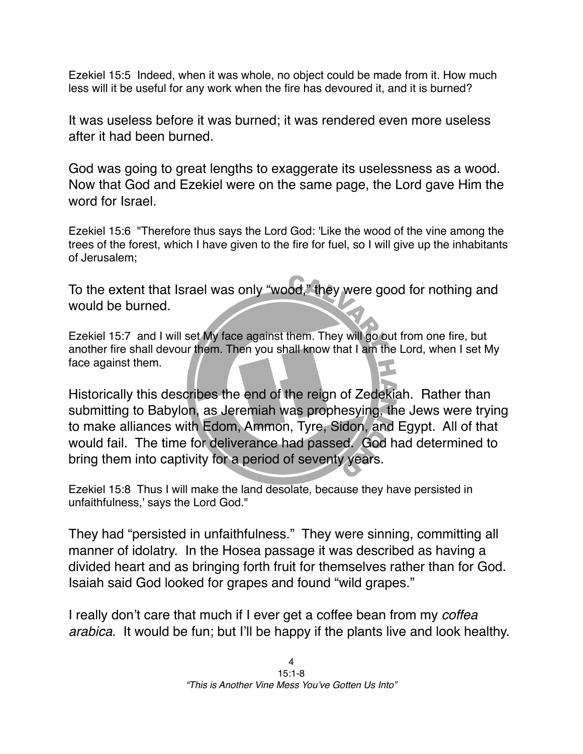Ezekiel 15:5 Indeed, when it was whole, no object could be made from it. How much less will it be useful for any work when the fire has devoured it, and it is burned?

It was useless before it was burned; it was rendered even more useless after it had been burned.

God was going to great lengths to exaggerate its uselessness as a wood. Now that God and Ezekiel were on the same page, the Lord gave Him the word for Israel

Ezekiel 15:6 "Therefore thus says the Lord God: 'Like the wood of the vine among the trees of the forest, which I have given to the fire for fuel, so I will give up the inhabitants of Jerusalem;

To the extent that Israel was only "wood," they were good for nothing and would be burned.

Ezekiel 15:7 and I will set My face against them. They will go out from one fire, but another fire shall devour them. Then you shall know that I am the Lord, when I set My face against them.

Historically this describes the end of the reign of Zedekiah. Rather than submitting to Babylon, as Jeremiah was prophesying, the Jews were trying to make alliances with Edom, Ammon, Tyre, Sidon, and Egypt. All of that would fail. The time for deliverance had passed. God had determined to bring them into captivity for a period of seventy years.

Ezekiel 15:8 Thus I will make the land desolate, because they have persisted in unfaithfulness,' says the Lord God."

They had "persisted in unfaithfulness." They were sinning, committing all manner of idolatry. In the Hosea passage it was described as having a divided heart and as bringing forth fruit for themselves rather than for God. Isaiah said God looked for grapes and found "wild grapes."

I really don't care that much if I ever get a coffee bean from my *coffea arabica*. It would be fun; but I'll be happy if the plants live and look healthy.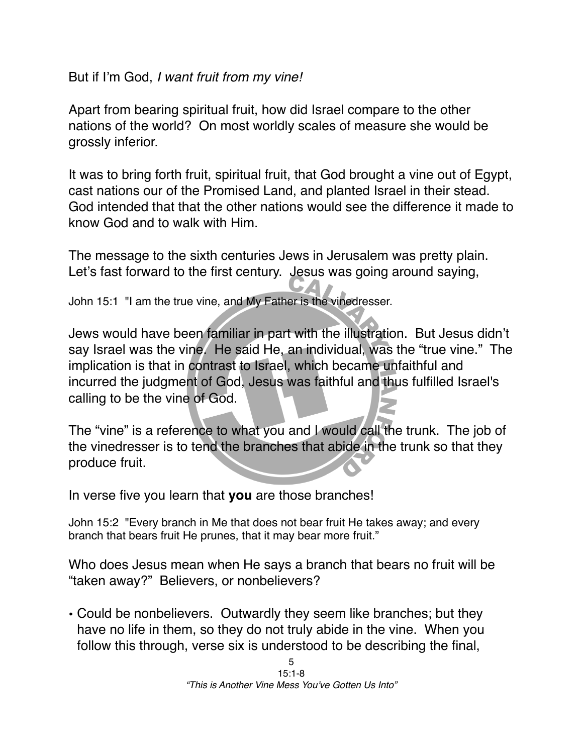But if I'm God, *I want fruit from my vine!*

Apart from bearing spiritual fruit, how did Israel compare to the other nations of the world? On most worldly scales of measure she would be grossly inferior.

It was to bring forth fruit, spiritual fruit, that God brought a vine out of Egypt, cast nations our of the Promised Land, and planted Israel in their stead. God intended that that the other nations would see the difference it made to know God and to walk with Him.

The message to the sixth centuries Jews in Jerusalem was pretty plain. Let's fast forward to the first century. Jesus was going around saying,

John 15:1 "I am the true vine, and My Father is the vinedresser.

Jews would have been familiar in part with the illustration. But Jesus didn't say Israel was the vine. He said He, an individual, was the "true vine." The implication is that in contrast to Israel, which became unfaithful and incurred the judgment of God, Jesus was faithful and thus fulfilled Israel's calling to be the vine of God.

The "vine" is a reference to what you and I would call the trunk. The job of the vinedresser is to tend the branches that abide in the trunk so that they produce fruit.

In verse five you learn that **you** are those branches!

John 15:2 "Every branch in Me that does not bear fruit He takes away; and every branch that bears fruit He prunes, that it may bear more fruit."

Who does Jesus mean when He says a branch that bears no fruit will be "taken away?" Believers, or nonbelievers?

• Could be nonbelievers. Outwardly they seem like branches; but they have no life in them, so they do not truly abide in the vine. When you follow this through, verse six is understood to be describing the final,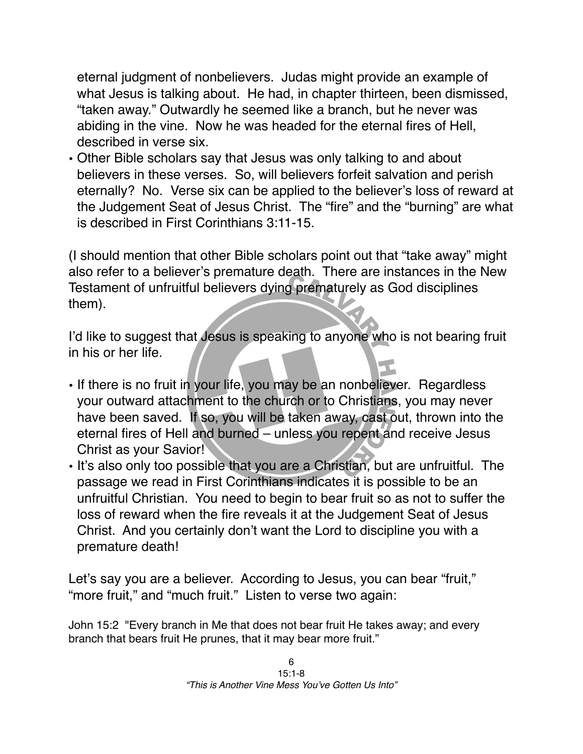eternal judgment of nonbelievers. Judas might provide an example of what Jesus is talking about. He had, in chapter thirteen, been dismissed, "taken away." Outwardly he seemed like a branch, but he never was abiding in the vine. Now he was headed for the eternal fires of Hell, described in verse six.

• Other Bible scholars say that Jesus was only talking to and about believers in these verses. So, will believers forfeit salvation and perish eternally? No. Verse six can be applied to the believer's loss of reward at the Judgement Seat of Jesus Christ. The "fire" and the "burning" are what is described in First Corinthians 3:11-15.

(I should mention that other Bible scholars point out that "take away" might also refer to a believer's premature death. There are instances in the New Testament of unfruitful believers dying prematurely as God disciplines them).

I'd like to suggest that Jesus is speaking to anyone who is not bearing fruit in his or her life.

- If there is no fruit in your life, you may be an nonbeliever. Regardless your outward attachment to the church or to Christians, you may never have been saved. If so, you will be taken away, cast out, thrown into the eternal fires of Hell and burned – unless you repent and receive Jesus Christ as your Savior!
- It's also only too possible that you are a Christian, but are unfruitful. The passage we read in First Corinthians indicates it is possible to be an unfruitful Christian. You need to begin to bear fruit so as not to suffer the loss of reward when the fire reveals it at the Judgement Seat of Jesus Christ. And you certainly don't want the Lord to discipline you with a premature death!

Let's say you are a believer. According to Jesus, you can bear "fruit," "more fruit," and "much fruit." Listen to verse two again:

John 15:2 "Every branch in Me that does not bear fruit He takes away; and every branch that bears fruit He prunes, that it may bear more fruit."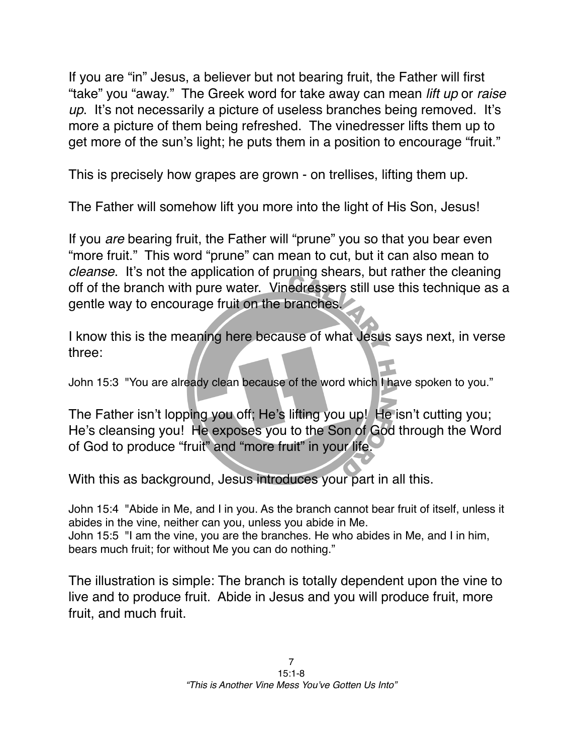If you are "in" Jesus, a believer but not bearing fruit, the Father will first "take" you "away." The Greek word for take away can mean *lift up* or *raise up*. It's not necessarily a picture of useless branches being removed. It's more a picture of them being refreshed. The vinedresser lifts them up to get more of the sun's light; he puts them in a position to encourage "fruit."

This is precisely how grapes are grown - on trellises, lifting them up.

The Father will somehow lift you more into the light of His Son, Jesus!

If you *are* bearing fruit, the Father will "prune" you so that you bear even "more fruit." This word "prune" can mean to cut, but it can also mean to *cleanse*. It's not the application of pruning shears, but rather the cleaning off of the branch with pure water. Vinedressers still use this technique as a gentle way to encourage fruit on the branches.

I know this is the meaning here because of what Jesus says next, in verse three:

John 15:3 "You are already clean because of the word which I have spoken to you."

The Father isn't lopping you off; He's lifting you up! He isn't cutting you; He's cleansing you! He exposes you to the Son of God through the Word of God to produce "fruit" and "more fruit" in your life.

With this as background, Jesus introduces your part in all this.

John 15:4 "Abide in Me, and I in you. As the branch cannot bear fruit of itself, unless it abides in the vine, neither can you, unless you abide in Me. John 15:5 "I am the vine, you are the branches. He who abides in Me, and I in him, bears much fruit; for without Me you can do nothing."

The illustration is simple: The branch is totally dependent upon the vine to live and to produce fruit. Abide in Jesus and you will produce fruit, more fruit, and much fruit.